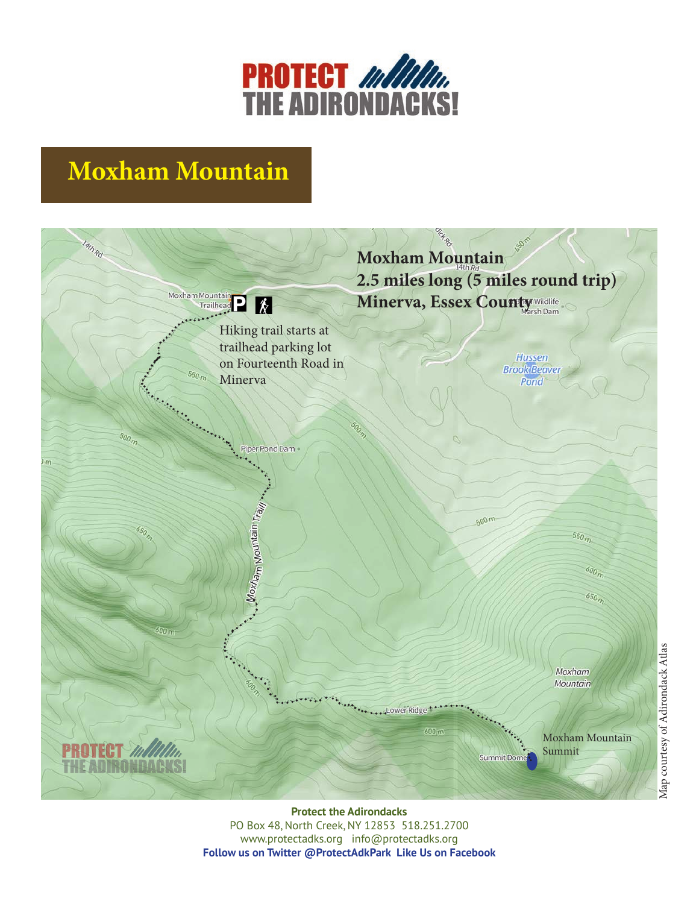

## **Moxham Mountain**



**Protect the Adirondacks** PO Box 48, North Creek, NY 12853 518.251.2700 www.protectadks.org info@protectadks.org **Follow us on Twitter @ProtectAdkPark Like Us on Facebook**